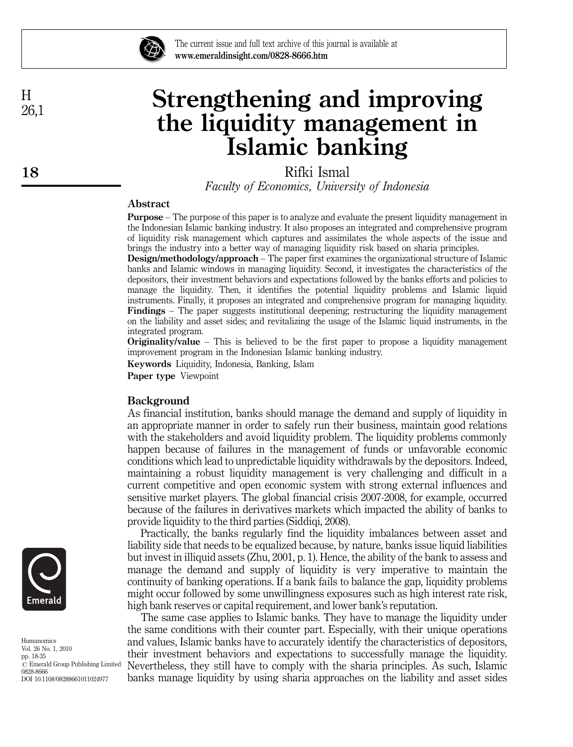

The current issue and full text archive of this journal is available at www.emeraldinsight.com/0828-8666.htm

Strengthening and improving the liquidity management in Islamic banking

Rifki Ismal

Faculty of Economics, University of Indonesia

#### Abstract

Purpose – The purpose of this paper is to analyze and evaluate the present liquidity management in the Indonesian Islamic banking industry. It also proposes an integrated and comprehensive program of liquidity risk management which captures and assimilates the whole aspects of the issue and brings the industry into a better way of managing liquidity risk based on sharia principles.

Design/methodology/approach – The paper first examines the organizational structure of Islamic banks and Islamic windows in managing liquidity. Second, it investigates the characteristics of the depositors, their investment behaviors and expectations followed by the banks efforts and policies to manage the liquidity. Then, it identifies the potential liquidity problems and Islamic liquid instruments. Finally, it proposes an integrated and comprehensive program for managing liquidity. Findings – The paper suggests institutional deepening; restructuring the liquidity management on the liability and asset sides; and revitalizing the usage of the Islamic liquid instruments, in the integrated program.

**Originality/value** – This is believed to be the first paper to propose a liquidity management improvement program in the Indonesian Islamic banking industry.

Keywords Liquidity, Indonesia, Banking, Islam Paper type Viewpoint

#### Background

As financial institution, banks should manage the demand and supply of liquidity in an appropriate manner in order to safely run their business, maintain good relations with the stakeholders and avoid liquidity problem. The liquidity problems commonly happen because of failures in the management of funds or unfavorable economic conditions which lead to unpredictable liquidity withdrawals by the depositors. Indeed, maintaining a robust liquidity management is very challenging and difficult in a current competitive and open economic system with strong external influences and sensitive market players. The global financial crisis 2007-2008, for example, occurred because of the failures in derivatives markets which impacted the ability of banks to provide liquidity to the third parties (Siddiqi, 2008).

Practically, the banks regularly find the liquidity imbalances between asset and liability side that needs to be equalized because, by nature, banks issue liquid liabilities but invest in illiquid assets (Zhu, 2001, p. 1). Hence, the ability of the bank to assess and manage the demand and supply of liquidity is very imperative to maintain the continuity of banking operations. If a bank fails to balance the gap, liquidity problems might occur followed by some unwillingness exposures such as high interest rate risk, high bank reserves or capital requirement, and lower bank's reputation.

The same case applies to Islamic banks. They have to manage the liquidity under the same conditions with their counter part. Especially, with their unique operations and values, Islamic banks have to accurately identify the characteristics of depositors, their investment behaviors and expectations to successfully manage the liquidity. Nevertheless, they still have to comply with the sharia principles. As such, Islamic banks manage liquidity by using sharia approaches on the liability and asset sides



Humanomics Vol. 26 No. 1, 2010 pp. 18-35  $\overrightarrow{C}$  Emerald Group Publishing Limited 0828-8666 DOI 10.1108/08288661011024977

18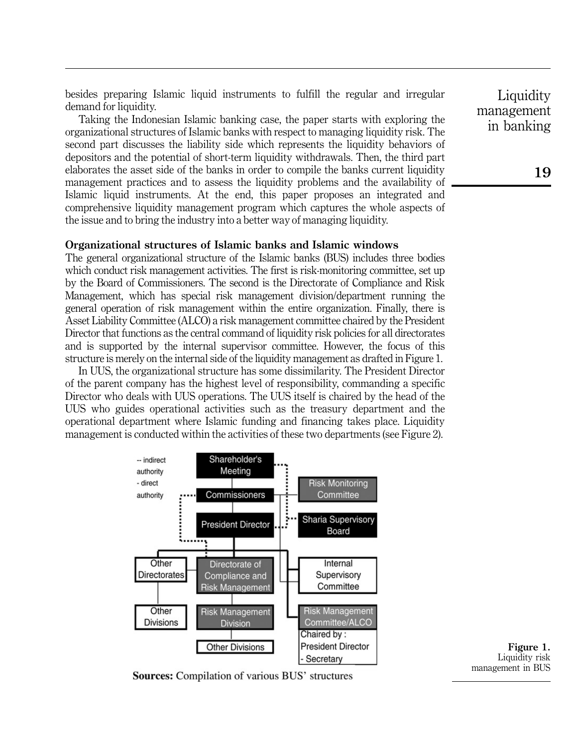besides preparing Islamic liquid instruments to fulfill the regular and irregular demand for liquidity.

Taking the Indonesian Islamic banking case, the paper starts with exploring the organizational structures of Islamic banks with respect to managing liquidity risk. The second part discusses the liability side which represents the liquidity behaviors of depositors and the potential of short-term liquidity withdrawals. Then, the third part elaborates the asset side of the banks in order to compile the banks current liquidity management practices and to assess the liquidity problems and the availability of Islamic liquid instruments. At the end, this paper proposes an integrated and comprehensive liquidity management program which captures the whole aspects of the issue and to bring the industry into a better way of managing liquidity.

# Organizational structures of Islamic banks and Islamic windows

The general organizational structure of the Islamic banks (BUS) includes three bodies which conduct risk management activities. The first is risk-monitoring committee, set up by the Board of Commissioners. The second is the Directorate of Compliance and Risk Management, which has special risk management division/department running the general operation of risk management within the entire organization. Finally, there is Asset Liability Committee (ALCO) a risk management committee chaired by the President Director that functions as the central command of liquidity risk policies for all directorates and is supported by the internal supervisor committee. However, the focus of this structure is merely on the internal side of the liquidity management as drafted in Figure 1.

In UUS, the organizational structure has some dissimilarity. The President Director of the parent company has the highest level of responsibility, commanding a specific Director who deals with UUS operations. The UUS itself is chaired by the head of the UUS who guides operational activities such as the treasury department and the operational department where Islamic funding and financing takes place. Liquidity management is conducted within the activities of these two departments (see Figure 2).



**Sources:** Compilation of various BUS' structures

**Liquidity** management in banking

Figure 1. Liquidity risk management in BUS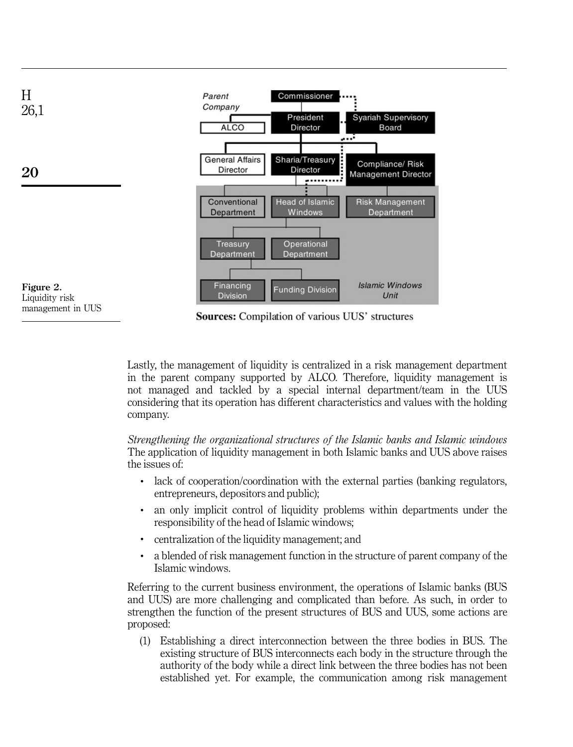

**Sources:** Compilation of various UUS' structures

Lastly, the management of liquidity is centralized in a risk management department in the parent company supported by ALCO. Therefore, liquidity management is not managed and tackled by a special internal department/team in the UUS considering that its operation has different characteristics and values with the holding company.

Strengthening the organizational structures of the Islamic banks and Islamic windows The application of liquidity management in both Islamic banks and UUS above raises the issues of:

- . lack of cooperation/coordination with the external parties (banking regulators, entrepreneurs, depositors and public);
- . an only implicit control of liquidity problems within departments under the responsibility of the head of Islamic windows;
- . centralization of the liquidity management; and
- . a blended of risk management function in the structure of parent company of the Islamic windows.

Referring to the current business environment, the operations of Islamic banks (BUS and UUS) are more challenging and complicated than before. As such, in order to strengthen the function of the present structures of BUS and UUS, some actions are proposed:

(1) Establishing a direct interconnection between the three bodies in BUS. The existing structure of BUS interconnects each body in the structure through the authority of the body while a direct link between the three bodies has not been established yet. For example, the communication among risk management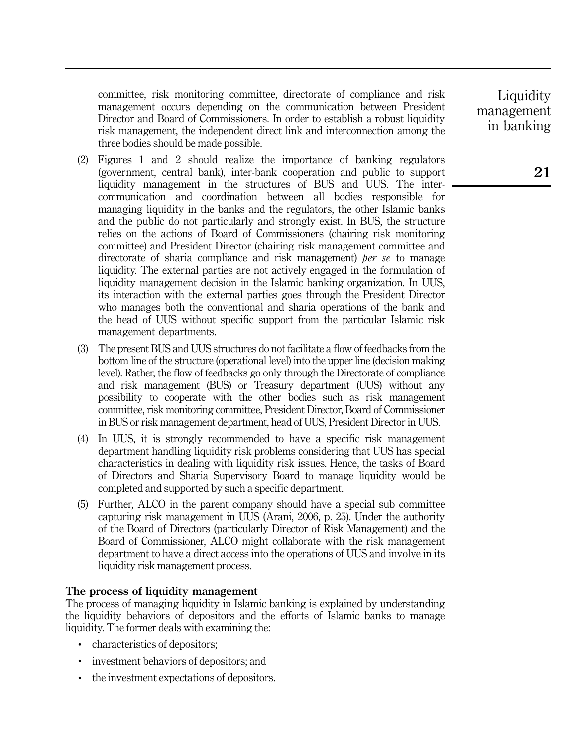committee, risk monitoring committee, directorate of compliance and risk management occurs depending on the communication between President Director and Board of Commissioners. In order to establish a robust liquidity risk management, the independent direct link and interconnection among the three bodies should be made possible.

- (2) Figures 1 and 2 should realize the importance of banking regulators (government, central bank), inter-bank cooperation and public to support liquidity management in the structures of BUS and UUS. The intercommunication and coordination between all bodies responsible for managing liquidity in the banks and the regulators, the other Islamic banks and the public do not particularly and strongly exist. In BUS, the structure relies on the actions of Board of Commissioners (chairing risk monitoring committee) and President Director (chairing risk management committee and directorate of sharia compliance and risk management) *per se* to manage liquidity. The external parties are not actively engaged in the formulation of liquidity management decision in the Islamic banking organization. In UUS, its interaction with the external parties goes through the President Director who manages both the conventional and sharia operations of the bank and the head of UUS without specific support from the particular Islamic risk management departments.
- (3) The present BUS and UUS structures do not facilitate a flow of feedbacks from the bottom line of the structure (operational level) into the upper line (decision making level). Rather, the flow of feedbacks go only through the Directorate of compliance and risk management (BUS) or Treasury department (UUS) without any possibility to cooperate with the other bodies such as risk management committee, risk monitoring committee, President Director, Board of Commissioner in BUS or risk management department, head of UUS, President Director in UUS.
- (4) In UUS, it is strongly recommended to have a specific risk management department handling liquidity risk problems considering that UUS has special characteristics in dealing with liquidity risk issues. Hence, the tasks of Board of Directors and Sharia Supervisory Board to manage liquidity would be completed and supported by such a specific department.
- (5) Further, ALCO in the parent company should have a special sub committee capturing risk management in UUS (Arani, 2006, p. 25). Under the authority of the Board of Directors (particularly Director of Risk Management) and the Board of Commissioner, ALCO might collaborate with the risk management department to have a direct access into the operations of UUS and involve in its liquidity risk management process.

## The process of liquidity management

The process of managing liquidity in Islamic banking is explained by understanding the liquidity behaviors of depositors and the efforts of Islamic banks to manage liquidity. The former deals with examining the:

- . characteristics of depositors;
- . investment behaviors of depositors; and
- . the investment expectations of depositors.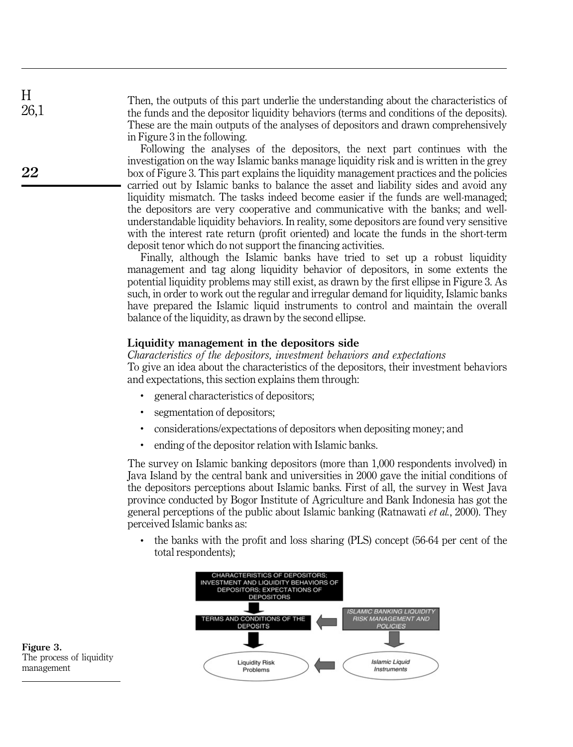Then, the outputs of this part underlie the understanding about the characteristics of the funds and the depositor liquidity behaviors (terms and conditions of the deposits). These are the main outputs of the analyses of depositors and drawn comprehensively in Figure 3 in the following.

Following the analyses of the depositors, the next part continues with the investigation on the way Islamic banks manage liquidity risk and is written in the grey box of Figure 3. This part explains the liquidity management practices and the policies carried out by Islamic banks to balance the asset and liability sides and avoid any liquidity mismatch. The tasks indeed become easier if the funds are well-managed; the depositors are very cooperative and communicative with the banks; and wellunderstandable liquidity behaviors. In reality, some depositors are found very sensitive with the interest rate return (profit oriented) and locate the funds in the short-term deposit tenor which do not support the financing activities.

Finally, although the Islamic banks have tried to set up a robust liquidity management and tag along liquidity behavior of depositors, in some extents the potential liquidity problems may still exist, as drawn by the first ellipse in Figure 3. As such, in order to work out the regular and irregular demand for liquidity, Islamic banks have prepared the Islamic liquid instruments to control and maintain the overall balance of the liquidity, as drawn by the second ellipse.

#### Liquidity management in the depositors side

Characteristics of the depositors, investment behaviors and expectations To give an idea about the characteristics of the depositors, their investment behaviors and expectations, this section explains them through:

- . general characteristics of depositors;
- . segmentation of depositors;
- . considerations/expectations of depositors when depositing money; and
- . ending of the depositor relation with Islamic banks.

The survey on Islamic banking depositors (more than 1,000 respondents involved) in Java Island by the central bank and universities in 2000 gave the initial conditions of the depositors perceptions about Islamic banks. First of all, the survey in West Java province conducted by Bogor Institute of Agriculture and Bank Indonesia has got the general perceptions of the public about Islamic banking (Ratnawati et al., 2000). They perceived Islamic banks as:

. the banks with the profit and loss sharing (PLS) concept (56-64 per cent of the total respondents);



Figure 3. The process of liquidity management

H 26,1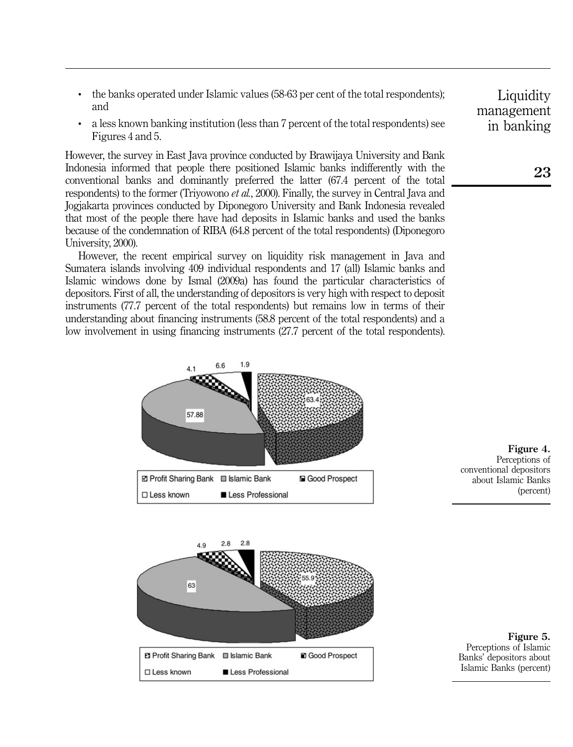- . the banks operated under Islamic values (58-63 per cent of the total respondents); and
- . a less known banking institution (less than 7 percent of the total respondents) see Figures 4 and 5.

However, the survey in East Java province conducted by Brawijaya University and Bank Indonesia informed that people there positioned Islamic banks indifferently with the conventional banks and dominantly preferred the latter (67.4 percent of the total respondents) to the former (Triyowono et al., 2000). Finally, the survey in Central Java and Jogjakarta provinces conducted by Diponegoro University and Bank Indonesia revealed that most of the people there have had deposits in Islamic banks and used the banks because of the condemnation of RIBA (64.8 percent of the total respondents) (Diponegoro University, 2000).

However, the recent empirical survey on liquidity risk management in Java and Sumatera islands involving 409 individual respondents and 17 (all) Islamic banks and Islamic windows done by Ismal (2009a) has found the particular characteristics of depositors. First of all, the understanding of depositors is very high with respect to deposit instruments (77.7 percent of the total respondents) but remains low in terms of their understanding about financing instruments (58.8 percent of the total respondents) and a low involvement in using financing instruments (27.7 percent of the total respondents).







Figure 5. Perceptions of Islamic Banks' depositors about Islamic Banks (percent)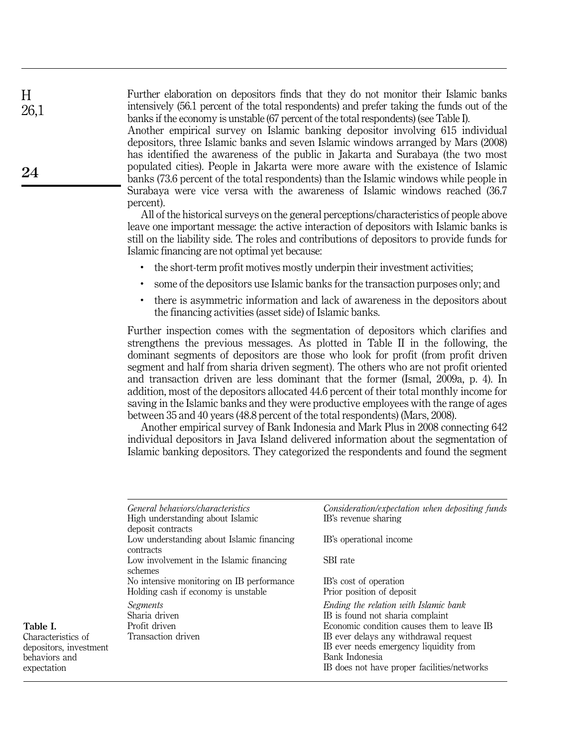Further elaboration on depositors finds that they do not monitor their Islamic banks intensively (56.1 percent of the total respondents) and prefer taking the funds out of the banks if the economy is unstable (67 percent of the total respondents) (see Table I).

> Another empirical survey on Islamic banking depositor involving 615 individual depositors, three Islamic banks and seven Islamic windows arranged by Mars (2008) has identified the awareness of the public in Jakarta and Surabaya (the two most populated cities). People in Jakarta were more aware with the existence of Islamic banks (73.6 percent of the total respondents) than the Islamic windows while people in Surabaya were vice versa with the awareness of Islamic windows reached (36.7 percent).

> All of the historical surveys on the general perceptions/characteristics of people above leave one important message: the active interaction of depositors with Islamic banks is still on the liability side. The roles and contributions of depositors to provide funds for Islamic financing are not optimal yet because:

- . the short-term profit motives mostly underpin their investment activities;
- . some of the depositors use Islamic banks for the transaction purposes only; and
- . there is asymmetric information and lack of awareness in the depositors about the financing activities (asset side) of Islamic banks.

Further inspection comes with the segmentation of depositors which clarifies and strengthens the previous messages. As plotted in Table II in the following, the dominant segments of depositors are those who look for profit (from profit driven segment and half from sharia driven segment). The others who are not profit oriented and transaction driven are less dominant that the former (Ismal, 2009a, p. 4). In addition, most of the depositors allocated 44.6 percent of their total monthly income for saving in the Islamic banks and they were productive employees with the range of ages between 35 and 40 years (48.8 percent of the total respondents) (Mars, 2008).

Another empirical survey of Bank Indonesia and Mark Plus in 2008 connecting 642 individual depositors in Java Island delivered information about the segmentation of Islamic banking depositors. They categorized the respondents and found the segment

| <i>General behaviors/characteristics</i><br>High understanding about Islamic<br>deposit contracts | Consideration/expectation when depositing funds<br>IB's revenue sharing                                                                                                                                                                                                     |
|---------------------------------------------------------------------------------------------------|-----------------------------------------------------------------------------------------------------------------------------------------------------------------------------------------------------------------------------------------------------------------------------|
| Low understanding about Islamic financing<br>contracts                                            | IB's operational income                                                                                                                                                                                                                                                     |
| Low involvement in the Islamic financing<br>schemes                                               | SBI rate                                                                                                                                                                                                                                                                    |
| No intensive monitoring on IB performance<br>Holding cash if economy is unstable.                 | IB's cost of operation<br>Prior position of deposit                                                                                                                                                                                                                         |
| <i>Segments</i><br>Sharia driven<br>Profit driven<br>Transaction driven                           | Ending the relation with Islamic bank<br>IB is found not sharia complaint<br>Economic condition causes them to leave IB<br>IB ever delays any withdrawal request<br>IB ever needs emergency liquidity from<br>Bank Indonesia<br>IB does not have proper facilities/networks |

# Table I.

H 26,1

24

Characteristics of depositors, investment behaviors and expectation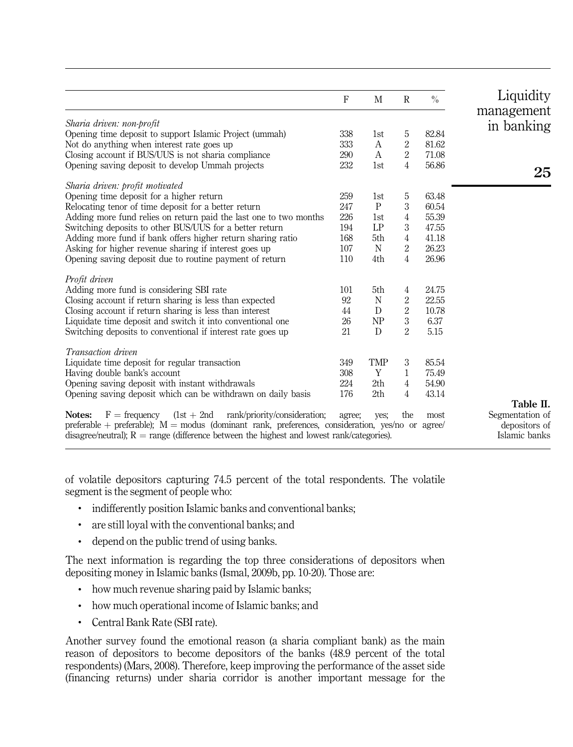|                                                                                                                                                                                                          | F      | M               | $\mathbb{R}$   | $\%$  | Liquidity                      |
|----------------------------------------------------------------------------------------------------------------------------------------------------------------------------------------------------------|--------|-----------------|----------------|-------|--------------------------------|
| Sharia driven: non-profit                                                                                                                                                                                |        |                 |                |       | management<br>in banking       |
| Opening time deposit to support Islamic Project (ummah)                                                                                                                                                  | 338    | 1st             | 5              | 82.84 |                                |
| Not do anything when interest rate goes up                                                                                                                                                               | 333    | А               | $\overline{2}$ | 81.62 |                                |
| Closing account if BUS/UUS is not sharia compliance                                                                                                                                                      | 290    | А               | 2              | 71.08 |                                |
| Opening saving deposit to develop Ummah projects                                                                                                                                                         | 232    | 1 <sub>st</sub> | $\overline{4}$ | 56.86 | 25                             |
| Sharia driven: profit motivated                                                                                                                                                                          |        |                 |                |       |                                |
| Opening time deposit for a higher return                                                                                                                                                                 | 259    | 1st             | 5              | 63.48 |                                |
| Relocating tenor of time deposit for a better return                                                                                                                                                     | 247    | P               | 3              | 60.54 |                                |
| Adding more fund relies on return paid the last one to two months                                                                                                                                        | 226    | 1st             | $\overline{4}$ | 55.39 |                                |
| Switching deposits to other BUS/UUS for a better return                                                                                                                                                  | 194    | LP              | 3              | 47.55 |                                |
| Adding more fund if bank offers higher return sharing ratio                                                                                                                                              | 168    | 5th             | $\overline{4}$ | 41.18 |                                |
| Asking for higher revenue sharing if interest goes up                                                                                                                                                    | 107    | N               | 2              | 26.23 |                                |
| Opening saving deposit due to routine payment of return                                                                                                                                                  | 110    | 4th             | $\overline{4}$ | 26.96 |                                |
| Profit driven                                                                                                                                                                                            |        |                 |                |       |                                |
| Adding more fund is considering SBI rate                                                                                                                                                                 | 101    | 5th             | 4              | 24.75 |                                |
| Closing account if return sharing is less than expected                                                                                                                                                  | 92     | N               | $\overline{2}$ | 22.55 |                                |
| Closing account if return sharing is less than interest                                                                                                                                                  | 44     | D               | $\overline{2}$ | 10.78 |                                |
| Liquidate time deposit and switch it into conventional one                                                                                                                                               | 26     | NP              | 3              | 6.37  |                                |
| Switching deposits to conventional if interest rate goes up                                                                                                                                              | 21     | D               | $\overline{2}$ | 5.15  |                                |
| Transaction driven                                                                                                                                                                                       |        |                 |                |       |                                |
| Liquidate time deposit for regular transaction                                                                                                                                                           | 349    | <b>TMP</b>      | 3              | 85.54 |                                |
| Having double bank's account                                                                                                                                                                             | 308    | Y               | 1              | 75.49 |                                |
| Opening saving deposit with instant withdrawals                                                                                                                                                          | 224    | 2 <sup>th</sup> | 4              | 54.90 |                                |
| Opening saving deposit which can be withdrawn on daily basis                                                                                                                                             | 176    | 2th             | $\overline{4}$ | 43.14 |                                |
|                                                                                                                                                                                                          |        |                 |                |       | Table II.                      |
| $(1st + 2nd)$<br>Notes:<br>$F = \text{frequency}$<br>rank/priority/consideration;                                                                                                                        | agree; | ves:            | the            | most  | Segmentation of                |
| preferable + preferable); $M =$ modus (dominant rank, preferences, consideration, yes/no or agree/<br>disagree/neutral); $R = \text{range}$ (difference between the highest and lowest rank/categories). |        |                 |                |       | depositors of<br>Islamic banks |

of volatile depositors capturing 74.5 percent of the total respondents. The volatile segment is the segment of people who:

- . indifferently position Islamic banks and conventional banks;
- . are still loyal with the conventional banks; and
- . depend on the public trend of using banks.

The next information is regarding the top three considerations of depositors when depositing money in Islamic banks (Ismal, 2009b, pp. 10-20). Those are:

- . how much revenue sharing paid by Islamic banks;
- . how much operational income of Islamic banks; and
- . Central Bank Rate (SBI rate).

Another survey found the emotional reason (a sharia compliant bank) as the main reason of depositors to become depositors of the banks (48.9 percent of the total respondents) (Mars, 2008). Therefore, keep improving the performance of the asset side (financing returns) under sharia corridor is another important message for the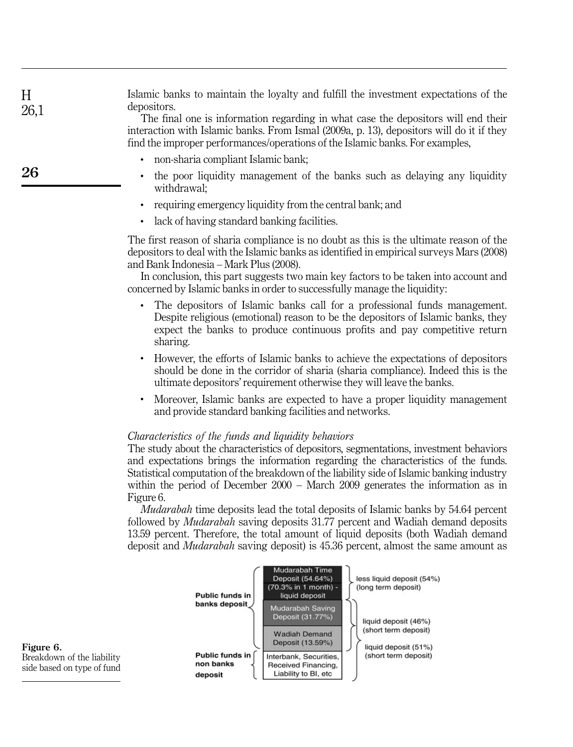H 26,1 Islamic banks to maintain the loyalty and fulfill the investment expectations of the depositors.

The final one is information regarding in what case the depositors will end their interaction with Islamic banks. From Ismal (2009a, p. 13), depositors will do it if they find the improper performances/operations of the Islamic banks. For examples,

- . non-sharia compliant Islamic bank;
- . the poor liquidity management of the banks such as delaying any liquidity withdrawal;
- . requiring emergency liquidity from the central bank; and
- . lack of having standard banking facilities.

The first reason of sharia compliance is no doubt as this is the ultimate reason of the depositors to deal with the Islamic banks as identified in empirical surveys Mars (2008) and Bank Indonesia – Mark Plus (2008).

In conclusion, this part suggests two main key factors to be taken into account and concerned by Islamic banks in order to successfully manage the liquidity:

- . The depositors of Islamic banks call for a professional funds management. Despite religious (emotional) reason to be the depositors of Islamic banks, they expect the banks to produce continuous profits and pay competitive return sharing.
- . However, the efforts of Islamic banks to achieve the expectations of depositors should be done in the corridor of sharia (sharia compliance). Indeed this is the ultimate depositors' requirement otherwise they will leave the banks.
- . Moreover, Islamic banks are expected to have a proper liquidity management and provide standard banking facilities and networks.

# Characteristics of the funds and liquidity behaviors

The study about the characteristics of depositors, segmentations, investment behaviors and expectations brings the information regarding the characteristics of the funds. Statistical computation of the breakdown of the liability side of Islamic banking industry within the period of December 2000 – March 2009 generates the information as in Figure 6.

Mudarabah time deposits lead the total deposits of Islamic banks by 54.64 percent followed by *Mudarabah* saving deposits 31.77 percent and Wadiah demand deposits 13.59 percent. Therefore, the total amount of liquid deposits (both Wadiah demand deposit and *Mudarabah* saving deposit) is 45.36 percent, almost the same amount as



26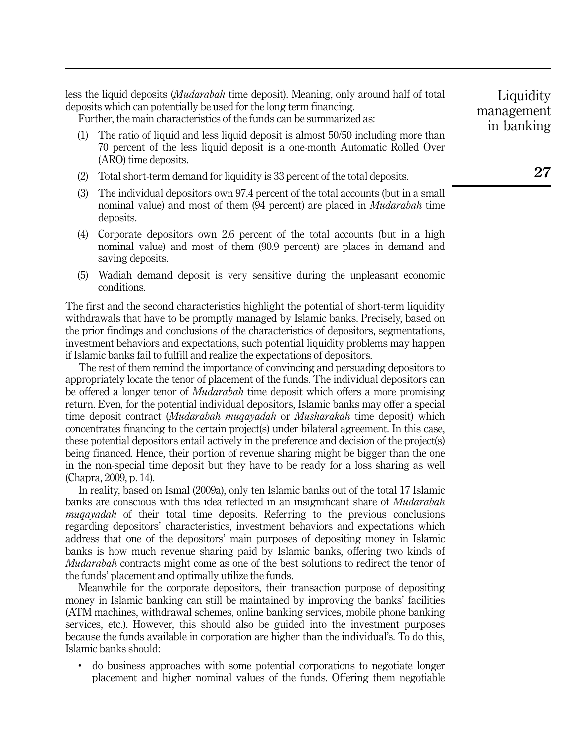less the liquid deposits (Mudarabah time deposit). Meaning, only around half of total deposits which can potentially be used for the long term financing.

Further, the main characteristics of the funds can be summarized as:

- (1) The ratio of liquid and less liquid deposit is almost 50/50 including more than 70 percent of the less liquid deposit is a one-month Automatic Rolled Over (ARO) time deposits.
- (2) Total short-term demand for liquidity is 33 percent of the total deposits.
- (3) The individual depositors own 97.4 percent of the total accounts (but in a small nominal value) and most of them (94 percent) are placed in Mudarabah time deposits.
- (4) Corporate depositors own 2.6 percent of the total accounts (but in a high nominal value) and most of them (90.9 percent) are places in demand and saving deposits.
- (5) Wadiah demand deposit is very sensitive during the unpleasant economic conditions.

The first and the second characteristics highlight the potential of short-term liquidity withdrawals that have to be promptly managed by Islamic banks. Precisely, based on the prior findings and conclusions of the characteristics of depositors, segmentations, investment behaviors and expectations, such potential liquidity problems may happen if Islamic banks fail to fulfill and realize the expectations of depositors.

The rest of them remind the importance of convincing and persuading depositors to appropriately locate the tenor of placement of the funds. The individual depositors can be offered a longer tenor of *Mudarabah* time deposit which offers a more promising return. Even, for the potential individual depositors, Islamic banks may offer a special time deposit contract (*Mudarabah muqayadah* or *Musharakah* time deposit) which concentrates financing to the certain project(s) under bilateral agreement. In this case, these potential depositors entail actively in the preference and decision of the project(s) being financed. Hence, their portion of revenue sharing might be bigger than the one in the non-special time deposit but they have to be ready for a loss sharing as well (Chapra, 2009, p. 14).

In reality, based on Ismal (2009a), only ten Islamic banks out of the total 17 Islamic banks are conscious with this idea reflected in an insignificant share of *Mudarabah* muqayadah of their total time deposits. Referring to the previous conclusions regarding depositors' characteristics, investment behaviors and expectations which address that one of the depositors' main purposes of depositing money in Islamic banks is how much revenue sharing paid by Islamic banks, offering two kinds of Mudarabah contracts might come as one of the best solutions to redirect the tenor of the funds' placement and optimally utilize the funds.

Meanwhile for the corporate depositors, their transaction purpose of depositing money in Islamic banking can still be maintained by improving the banks' facilities (ATM machines, withdrawal schemes, online banking services, mobile phone banking services, etc.). However, this should also be guided into the investment purposes because the funds available in corporation are higher than the individual's. To do this, Islamic banks should:

. do business approaches with some potential corporations to negotiate longer placement and higher nominal values of the funds. Offering them negotiable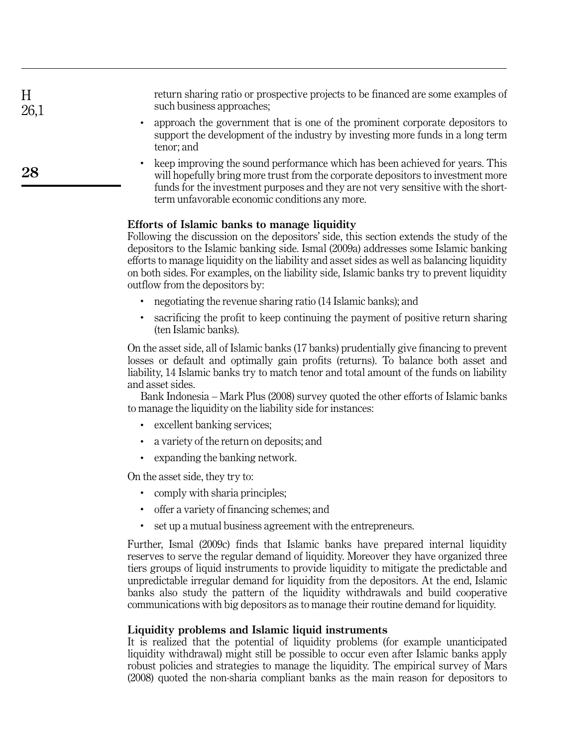| Η<br>26,1 | return sharing ratio or prospective projects to be financed are some examples of<br>such business approaches;                                                                                                                                                                                           |
|-----------|---------------------------------------------------------------------------------------------------------------------------------------------------------------------------------------------------------------------------------------------------------------------------------------------------------|
|           | approach the government that is one of the prominent corporate depositors to<br>support the development of the industry by investing more funds in a long term<br>tenor; and                                                                                                                            |
| 28        | keep improving the sound performance which has been achieved for years. This<br>will hopefully bring more trust from the corporate depositors to investment more<br>funds for the investment purposes and they are not very sensitive with the short-<br>term unfavorable economic conditions any more. |

### Efforts of Islamic banks to manage liquidity

Following the discussion on the depositors' side, this section extends the study of the depositors to the Islamic banking side. Ismal (2009a) addresses some Islamic banking efforts to manage liquidity on the liability and asset sides as well as balancing liquidity on both sides. For examples, on the liability side, Islamic banks try to prevent liquidity outflow from the depositors by:

- . negotiating the revenue sharing ratio (14 Islamic banks); and
- . sacrificing the profit to keep continuing the payment of positive return sharing (ten Islamic banks).

On the asset side, all of Islamic banks (17 banks) prudentially give financing to prevent losses or default and optimally gain profits (returns). To balance both asset and liability, 14 Islamic banks try to match tenor and total amount of the funds on liability and asset sides.

Bank Indonesia – Mark Plus (2008) survey quoted the other efforts of Islamic banks to manage the liquidity on the liability side for instances:

- . excellent banking services;
- . a variety of the return on deposits; and
- . expanding the banking network.

On the asset side, they try to:

- . comply with sharia principles;
- . offer a variety of financing schemes; and
- . set up a mutual business agreement with the entrepreneurs.

Further, Ismal (2009c) finds that Islamic banks have prepared internal liquidity reserves to serve the regular demand of liquidity. Moreover they have organized three tiers groups of liquid instruments to provide liquidity to mitigate the predictable and unpredictable irregular demand for liquidity from the depositors. At the end, Islamic banks also study the pattern of the liquidity withdrawals and build cooperative communications with big depositors as to manage their routine demand for liquidity.

#### Liquidity problems and Islamic liquid instruments

It is realized that the potential of liquidity problems (for example unanticipated liquidity withdrawal) might still be possible to occur even after Islamic banks apply robust policies and strategies to manage the liquidity. The empirical survey of Mars (2008) quoted the non-sharia compliant banks as the main reason for depositors to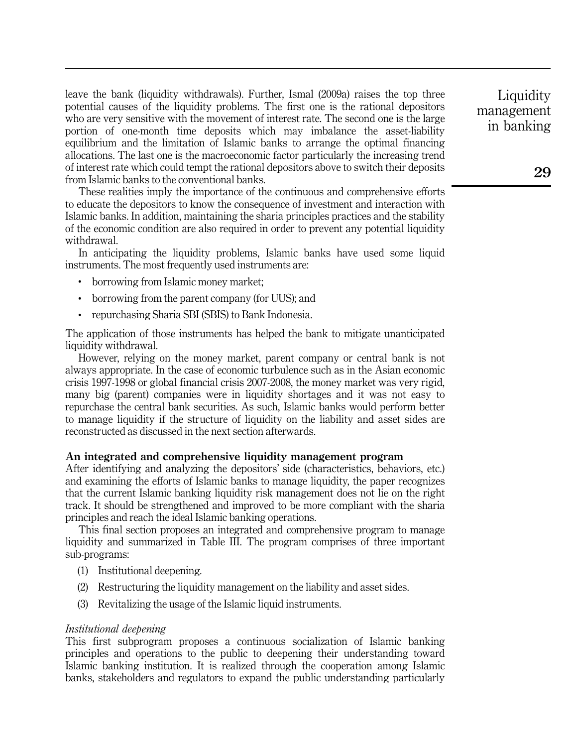leave the bank (liquidity withdrawals). Further, Ismal (2009a) raises the top three potential causes of the liquidity problems. The first one is the rational depositors who are very sensitive with the movement of interest rate. The second one is the large portion of one-month time deposits which may imbalance the asset-liability equilibrium and the limitation of Islamic banks to arrange the optimal financing allocations. The last one is the macroeconomic factor particularly the increasing trend of interest rate which could tempt the rational depositors above to switch their deposits from Islamic banks to the conventional banks.

These realities imply the importance of the continuous and comprehensive efforts to educate the depositors to know the consequence of investment and interaction with Islamic banks. In addition, maintaining the sharia principles practices and the stability of the economic condition are also required in order to prevent any potential liquidity withdrawal.

In anticipating the liquidity problems, Islamic banks have used some liquid instruments. The most frequently used instruments are:

- . borrowing from Islamic money market;
- . borrowing from the parent company (for UUS); and
- . repurchasing Sharia SBI (SBIS) to Bank Indonesia.

The application of those instruments has helped the bank to mitigate unanticipated liquidity withdrawal.

However, relying on the money market, parent company or central bank is not always appropriate. In the case of economic turbulence such as in the Asian economic crisis 1997-1998 or global financial crisis 2007-2008, the money market was very rigid, many big (parent) companies were in liquidity shortages and it was not easy to repurchase the central bank securities. As such, Islamic banks would perform better to manage liquidity if the structure of liquidity on the liability and asset sides are reconstructed as discussed in the next section afterwards.

## An integrated and comprehensive liquidity management program

After identifying and analyzing the depositors' side (characteristics, behaviors, etc.) and examining the efforts of Islamic banks to manage liquidity, the paper recognizes that the current Islamic banking liquidity risk management does not lie on the right track. It should be strengthened and improved to be more compliant with the sharia principles and reach the ideal Islamic banking operations.

This final section proposes an integrated and comprehensive program to manage liquidity and summarized in Table III. The program comprises of three important sub-programs:

- (1) Institutional deepening.
- (2) Restructuring the liquidity management on the liability and asset sides.
- (3) Revitalizing the usage of the Islamic liquid instruments.

# Institutional deepening

This first subprogram proposes a continuous socialization of Islamic banking principles and operations to the public to deepening their understanding toward Islamic banking institution. It is realized through the cooperation among Islamic banks, stakeholders and regulators to expand the public understanding particularly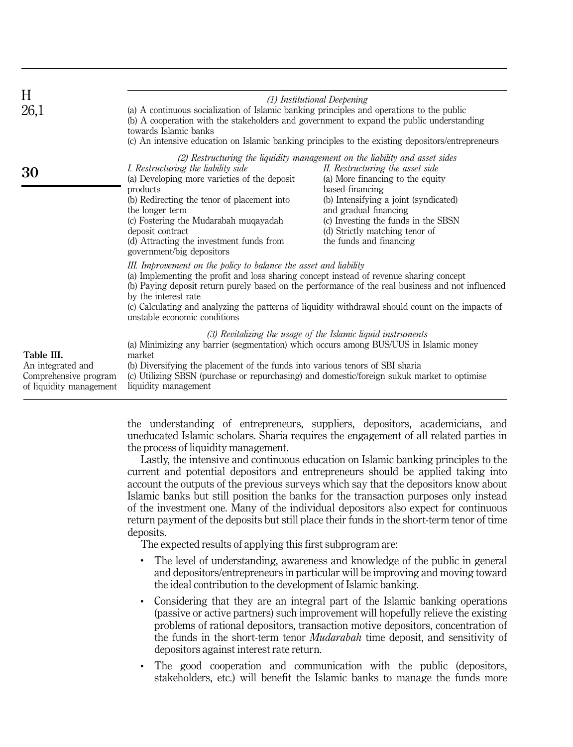| H<br>26,1                                                                           | (1) Institutional Deepening<br>(a) A continuous socialization of Islamic banking principles and operations to the public<br>(b) A cooperation with the stakeholders and government to expand the public understanding<br>towards Islamic banks<br>(c) An intensive education on Islamic banking principles to the existing depositors/entrepreneurs |                                                                                                                                                                                                                                                                                                                                              |  |  |
|-------------------------------------------------------------------------------------|-----------------------------------------------------------------------------------------------------------------------------------------------------------------------------------------------------------------------------------------------------------------------------------------------------------------------------------------------------|----------------------------------------------------------------------------------------------------------------------------------------------------------------------------------------------------------------------------------------------------------------------------------------------------------------------------------------------|--|--|
| 30                                                                                  | I. Restructuring the liability side<br>(a) Developing more varieties of the deposit<br>products<br>(b) Redirecting the tenor of placement into<br>the longer term<br>(c) Fostering the Mudarabah mugayadah<br>deposit contract<br>(d) Attracting the investment funds from<br>government/big depositors                                             | (2) Restructuring the liquidity management on the liability and asset sides<br>II. Restructuring the asset side<br>(a) More financing to the equity<br>based financing<br>(b) Intensifying a joint (syndicated)<br>and gradual financing<br>(c) Investing the funds in the SBSN<br>(d) Strictly matching tenor of<br>the funds and financing |  |  |
|                                                                                     | III. Improvement on the policy to balance the asset and liability<br>(a) Implementing the profit and loss sharing concept instead of revenue sharing concept<br>by the interest rate<br>unstable economic conditions                                                                                                                                | (b) Paying deposit return purely based on the performance of the real business and not influenced<br>(c) Calculating and analyzing the patterns of liquidity withdrawal should count on the impacts of                                                                                                                                       |  |  |
| Table III.<br>An integrated and<br>Comprehensive program<br>of liquidity management | (a) Minimizing any barrier (segmentation) which occurs among BUS/UUS in Islamic money<br>market<br>(b) Diversifying the placement of the funds into various tenors of SBI sharia<br>(c) Utilizing SBSN (purchase or repurchasing) and domestic/foreign sukuk market to optimise<br>liquidity management                                             | (3) Revitalizing the usage of the Islamic liquid instruments                                                                                                                                                                                                                                                                                 |  |  |

the understanding of entrepreneurs, suppliers, depositors, academicians, and uneducated Islamic scholars. Sharia requires the engagement of all related parties in the process of liquidity management.

Lastly, the intensive and continuous education on Islamic banking principles to the current and potential depositors and entrepreneurs should be applied taking into account the outputs of the previous surveys which say that the depositors know about Islamic banks but still position the banks for the transaction purposes only instead of the investment one. Many of the individual depositors also expect for continuous return payment of the deposits but still place their funds in the short-term tenor of time deposits.

The expected results of applying this first subprogram are:

- . The level of understanding, awareness and knowledge of the public in general and depositors/entrepreneurs in particular will be improving and moving toward the ideal contribution to the development of Islamic banking.
- . Considering that they are an integral part of the Islamic banking operations (passive or active partners) such improvement will hopefully relieve the existing problems of rational depositors, transaction motive depositors, concentration of the funds in the short-term tenor *Mudarabah* time deposit, and sensitivity of depositors against interest rate return.
- . The good cooperation and communication with the public (depositors, stakeholders, etc.) will benefit the Islamic banks to manage the funds more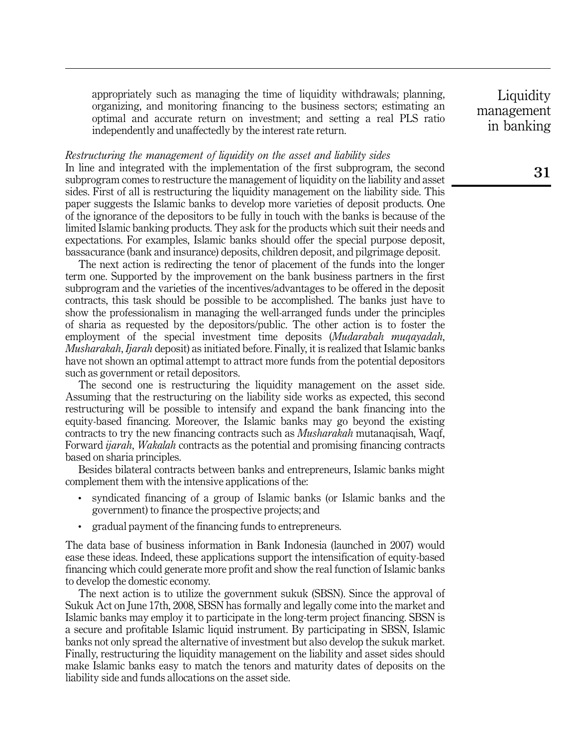appropriately such as managing the time of liquidity withdrawals; planning, organizing, and monitoring financing to the business sectors; estimating an optimal and accurate return on investment; and setting a real PLS ratio independently and unaffectedly by the interest rate return.

#### Restructuring the management of liquidity on the asset and liability sides

In line and integrated with the implementation of the first subprogram, the second subprogram comes to restructure the management of liquidity on the liability and asset sides. First of all is restructuring the liquidity management on the liability side. This paper suggests the Islamic banks to develop more varieties of deposit products. One of the ignorance of the depositors to be fully in touch with the banks is because of the limited Islamic banking products. They ask for the products which suit their needs and expectations. For examples, Islamic banks should offer the special purpose deposit, bassacurance (bank and insurance) deposits, children deposit, and pilgrimage deposit.

The next action is redirecting the tenor of placement of the funds into the longer term one. Supported by the improvement on the bank business partners in the first subprogram and the varieties of the incentives/advantages to be offered in the deposit contracts, this task should be possible to be accomplished. The banks just have to show the professionalism in managing the well-arranged funds under the principles of sharia as requested by the depositors/public. The other action is to foster the employment of the special investment time deposits (Mudarabah muqayadah, Musharakah, Ijarah deposit) as initiated before. Finally, it is realized that Islamic banks have not shown an optimal attempt to attract more funds from the potential depositors such as government or retail depositors.

The second one is restructuring the liquidity management on the asset side. Assuming that the restructuring on the liability side works as expected, this second restructuring will be possible to intensify and expand the bank financing into the equity-based financing. Moreover, the Islamic banks may go beyond the existing contracts to try the new financing contracts such as Musharakah mutanaqisah, Waqf, Forward ijarah, Wakalah contracts as the potential and promising financing contracts based on sharia principles.

Besides bilateral contracts between banks and entrepreneurs, Islamic banks might complement them with the intensive applications of the:

- . syndicated financing of a group of Islamic banks (or Islamic banks and the government) to finance the prospective projects; and
- . gradual payment of the financing funds to entrepreneurs.

The data base of business information in Bank Indonesia (launched in 2007) would ease these ideas. Indeed, these applications support the intensification of equity-based financing which could generate more profit and show the real function of Islamic banks to develop the domestic economy.

The next action is to utilize the government sukuk (SBSN). Since the approval of Sukuk Act on June 17th, 2008, SBSN has formally and legally come into the market and Islamic banks may employ it to participate in the long-term project financing. SBSN is a secure and profitable Islamic liquid instrument. By participating in SBSN, Islamic banks not only spread the alternative of investment but also develop the sukuk market. Finally, restructuring the liquidity management on the liability and asset sides should make Islamic banks easy to match the tenors and maturity dates of deposits on the liability side and funds allocations on the asset side.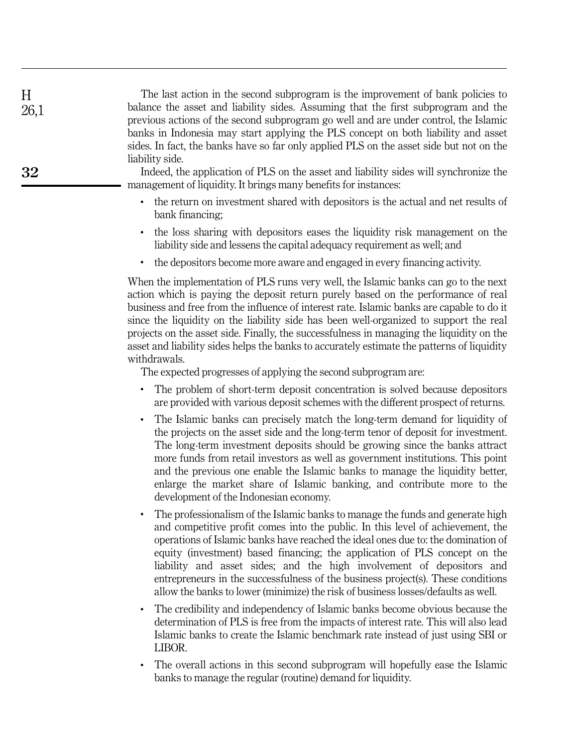| H<br>26,1 | The last action in the second subprogram is the improvement of bank policies to<br>balance the asset and liability sides. Assuming that the first subprogram and the<br>previous actions of the second subprogram go well and are under control, the Islamic<br>banks in Indonesia may start applying the PLS concept on both liability and asset<br>sides. In fact, the banks have so far only applied PLS on the asset side but not on the<br>liability side.                                                                                                                                                                            |
|-----------|--------------------------------------------------------------------------------------------------------------------------------------------------------------------------------------------------------------------------------------------------------------------------------------------------------------------------------------------------------------------------------------------------------------------------------------------------------------------------------------------------------------------------------------------------------------------------------------------------------------------------------------------|
| 32        | Indeed, the application of PLS on the asset and liability sides will synchronize the<br>management of liquidity. It brings many benefits for instances:                                                                                                                                                                                                                                                                                                                                                                                                                                                                                    |
|           | the return on investment shared with depositors is the actual and net results of<br>bank financing;                                                                                                                                                                                                                                                                                                                                                                                                                                                                                                                                        |
|           | the loss sharing with depositors eases the liquidity risk management on the<br>liability side and lessens the capital adequacy requirement as well; and                                                                                                                                                                                                                                                                                                                                                                                                                                                                                    |
|           | the depositors become more aware and engaged in every financing activity.<br>$\bullet$                                                                                                                                                                                                                                                                                                                                                                                                                                                                                                                                                     |
|           | When the implementation of PLS runs very well, the Islamic banks can go to the next<br>action which is paying the deposit return purely based on the performance of real<br>business and free from the influence of interest rate. Islamic banks are capable to do it<br>since the liquidity on the liability side has been well-organized to support the real<br>projects on the asset side. Finally, the successfulness in managing the liquidity on the<br>asset and liability sides helps the banks to accurately estimate the patterns of liquidity<br>withdrawals.<br>The expected progresses of applying the second subprogram are: |
|           | The problem of short-term deposit concentration is solved because depositors<br>are provided with various deposit schemes with the different prospect of returns.                                                                                                                                                                                                                                                                                                                                                                                                                                                                          |
|           | The Islamic banks can precisely match the long-term demand for liquidity of<br>the projects on the asset side and the long-term tenor of deposit for investment.<br>The long-term investment deposits should be growing since the banks attract<br>more funds from retail investors as well as government institutions. This point<br>and the previous one enable the Islamic banks to manage the liquidity better,<br>enlarge the market share of Islamic banking, and contribute more to the<br>development of the Indonesian economy.                                                                                                   |
|           | The professionalism of the Islamic banks to manage the funds and generate high<br>and competitive profit comes into the public. In this level of achievement, the<br>operations of Islamic banks have reached the ideal ones due to: the domination of<br>equity (investment) based financing; the application of PLS concept on the<br>liability and asset sides; and the high involvement of depositors and<br>entrepreneurs in the successfulness of the business project(s). These conditions<br>allow the banks to lower (minimize) the risk of business losses/defaults as well.                                                     |
|           | The credibility and independency of Islamic banks become obvious because the<br>$\bullet$<br>determination of PLS is free from the impacts of interest rate. This will also lead<br>Islamic banks to create the Islamic benchmark rate instead of just using SBI or<br>LIBOR.                                                                                                                                                                                                                                                                                                                                                              |
|           | The overall actions in this second subprogram will hopefully ease the Islamic<br>$\bullet$<br>banks to manage the regular (routine) demand for liquidity.                                                                                                                                                                                                                                                                                                                                                                                                                                                                                  |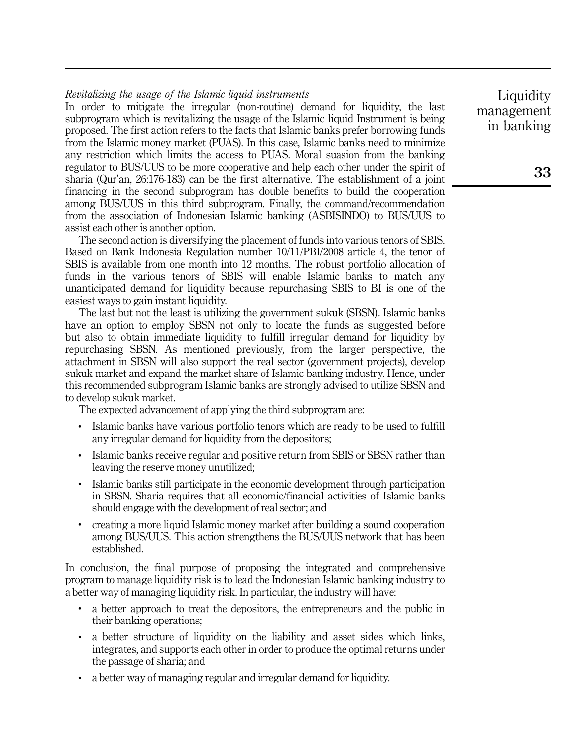### Revitalizing the usage of the Islamic liquid instruments

In order to mitigate the irregular (non-routine) demand for liquidity, the last subprogram which is revitalizing the usage of the Islamic liquid Instrument is being proposed. The first action refers to the facts that Islamic banks prefer borrowing funds from the Islamic money market (PUAS). In this case, Islamic banks need to minimize any restriction which limits the access to PUAS. Moral suasion from the banking regulator to BUS/UUS to be more cooperative and help each other under the spirit of sharia (Qur'an, 26:176-183) can be the first alternative. The establishment of a joint financing in the second subprogram has double benefits to build the cooperation among BUS/UUS in this third subprogram. Finally, the command/recommendation from the association of Indonesian Islamic banking (ASBISINDO) to BUS/UUS to assist each other is another option.

The second action is diversifying the placement of funds into various tenors of SBIS. Based on Bank Indonesia Regulation number 10/11/PBI/2008 article 4, the tenor of SBIS is available from one month into 12 months. The robust portfolio allocation of funds in the various tenors of SBIS will enable Islamic banks to match any unanticipated demand for liquidity because repurchasing SBIS to BI is one of the easiest ways to gain instant liquidity.

The last but not the least is utilizing the government sukuk (SBSN). Islamic banks have an option to employ SBSN not only to locate the funds as suggested before but also to obtain immediate liquidity to fulfill irregular demand for liquidity by repurchasing SBSN. As mentioned previously, from the larger perspective, the attachment in SBSN will also support the real sector (government projects), develop sukuk market and expand the market share of Islamic banking industry. Hence, under this recommended subprogram Islamic banks are strongly advised to utilize SBSN and to develop sukuk market.

The expected advancement of applying the third subprogram are:

- . Islamic banks have various portfolio tenors which are ready to be used to fulfill any irregular demand for liquidity from the depositors;
- . Islamic banks receive regular and positive return from SBIS or SBSN rather than leaving the reserve money unutilized;
- . Islamic banks still participate in the economic development through participation in SBSN. Sharia requires that all economic/financial activities of Islamic banks should engage with the development of real sector; and
- . creating a more liquid Islamic money market after building a sound cooperation among BUS/UUS. This action strengthens the BUS/UUS network that has been established.

In conclusion, the final purpose of proposing the integrated and comprehensive program to manage liquidity risk is to lead the Indonesian Islamic banking industry to a better way of managing liquidity risk. In particular, the industry will have:

- . a better approach to treat the depositors, the entrepreneurs and the public in their banking operations;
- . a better structure of liquidity on the liability and asset sides which links, integrates, and supports each other in order to produce the optimal returns under the passage of sharia; and
- . a better way of managing regular and irregular demand for liquidity.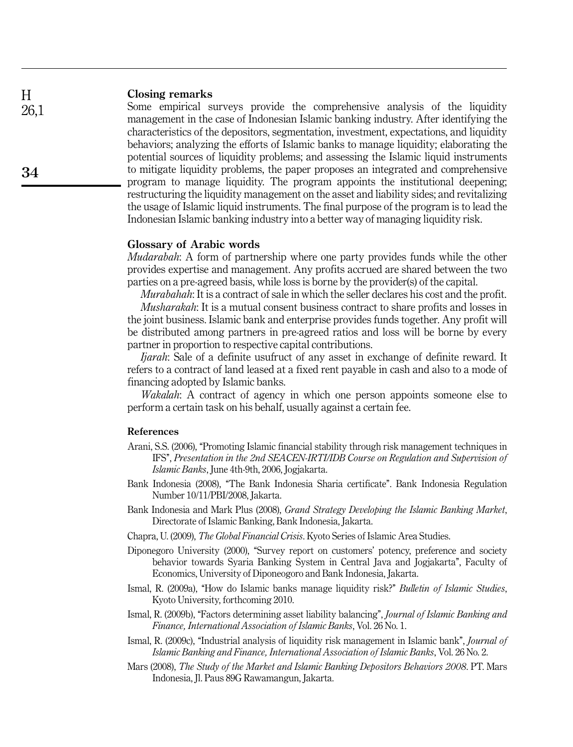#### H Closing remarks

26,1

34

Some empirical surveys provide the comprehensive analysis of the liquidity management in the case of Indonesian Islamic banking industry. After identifying the characteristics of the depositors, segmentation, investment, expectations, and liquidity behaviors; analyzing the efforts of Islamic banks to manage liquidity; elaborating the potential sources of liquidity problems; and assessing the Islamic liquid instruments to mitigate liquidity problems, the paper proposes an integrated and comprehensive program to manage liquidity. The program appoints the institutional deepening; restructuring the liquidity management on the asset and liability sides; and revitalizing the usage of Islamic liquid instruments. The final purpose of the program is to lead the Indonesian Islamic banking industry into a better way of managing liquidity risk.

# Glossary of Arabic words

Mudarabah: A form of partnership where one party provides funds while the other provides expertise and management. Any profits accrued are shared between the two parties on a pre-agreed basis, while loss is borne by the provider(s) of the capital.

*Murabahah*: It is a contract of sale in which the seller declares his cost and the profit.

Musharakah: It is a mutual consent business contract to share profits and losses in the joint business. Islamic bank and enterprise provides funds together. Any profit will be distributed among partners in pre-agreed ratios and loss will be borne by every partner in proportion to respective capital contributions.

*Ijarah*: Sale of a definite usufruct of any asset in exchange of definite reward. It refers to a contract of land leased at a fixed rent payable in cash and also to a mode of financing adopted by Islamic banks.

Wakalah: A contract of agency in which one person appoints someone else to perform a certain task on his behalf, usually against a certain fee.

# References

- Arani, S.S. (2006), ''Promoting Islamic financial stability through risk management techniques in IFS'', Presentation in the 2nd SEACEN-IRTI/IDB Course on Regulation and Supervision of Islamic Banks, June 4th-9th, 2006, Jogjakarta.
- Bank Indonesia (2008), ''The Bank Indonesia Sharia certificate''. Bank Indonesia Regulation Number 10/11/PBI/2008, Jakarta.
- Bank Indonesia and Mark Plus (2008), Grand Strategy Developing the Islamic Banking Market, Directorate of Islamic Banking, Bank Indonesia, Jakarta.
- Chapra, U. (2009), The Global Financial Crisis. Kyoto Series of Islamic Area Studies.
- Diponegoro University (2000), ''Survey report on customers' potency, preference and society behavior towards Syaria Banking System in Central Java and Jogjakarta'', Faculty of Economics, University of Diponeogoro and Bank Indonesia, Jakarta.
- Ismal, R. (2009a), ''How do Islamic banks manage liquidity risk?'' Bulletin of Islamic Studies, Kyoto University, forthcoming 2010.
- Ismal, R. (2009b), "Factors determining asset liability balancing", *Journal of Islamic Banking and* Finance, International Association of Islamic Banks, Vol. 26 No. 1.
- Ismal, R. (2009c), ''Industrial analysis of liquidity risk management in Islamic bank'', Journal of Islamic Banking and Finance, International Association of Islamic Banks, Vol. 26 No. 2.
- Mars (2008), The Study of the Market and Islamic Banking Depositors Behaviors 2008. PT. Mars Indonesia, Jl. Paus 89G Rawamangun, Jakarta.